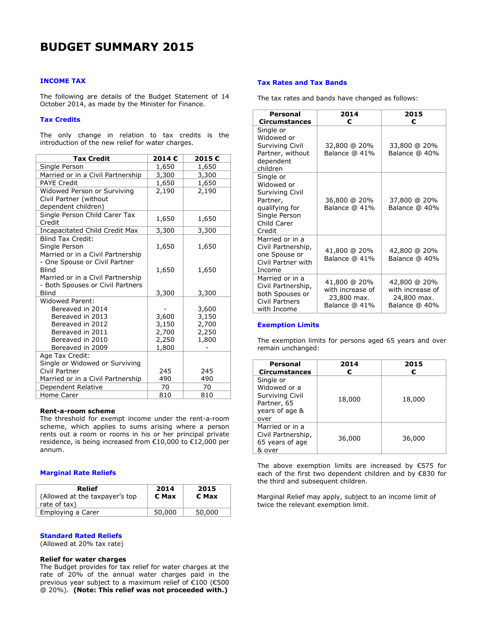# **INCOME TAX**

The following are details of the Budget Statement of 14 October 2014, as made by the Minister for Finance.

# **Tax Credits**

The only change in relation to tax credits is the introduction of the new relief for water charges.

| <b>Tax Credit</b>                                | 2014€ | 2015€ |
|--------------------------------------------------|-------|-------|
| Single Person                                    | 1,650 | 1,650 |
| Married or in a Civil Partnership                | 3,300 | 3,300 |
| <b>PAYE Credit</b>                               | 1,650 | 1,650 |
| Widowed Person or Surviving                      | 2,190 | 2,190 |
| Civil Partner (without                           |       |       |
| dependent children)                              |       |       |
| Single Person Child Carer Tax                    | 1,650 | 1,650 |
| Credit                                           |       |       |
| Incapacitated Child Credit Max                   | 3,300 | 3,300 |
| <b>Blind Tax Credit:</b>                         |       |       |
| Single Person                                    | 1,650 | 1,650 |
| Married or in a Civil Partnership                |       |       |
| - One Spouse or Civil Partner                    |       |       |
| <b>Blind</b>                                     | 1,650 | 1,650 |
| Married or in a Civil Partnership                |       |       |
| - Both Spouses or Civil Partners<br><b>Blind</b> |       |       |
| Widowed Parent:                                  | 3,300 | 3,300 |
| Bereaved in 2014                                 |       | 3,600 |
| Bereaved in 2013                                 | 3,600 | 3,150 |
| Bereaved in 2012                                 | 3,150 | 2,700 |
| Bereaved in 2011                                 | 2,700 | 2,250 |
| Bereaved in 2010                                 | 2,250 | 1,800 |
| Bereaved in 2009                                 | 1,800 |       |
| Age Tax Credit:                                  |       |       |
| Single or Widowed or Surviving                   |       |       |
| Civil Partner                                    | 245   | 245   |
| Married or in a Civil Partnership                | 490   | 490   |
| Dependent Relative                               | 70    | 70    |
| Home Carer                                       | 810   | 810   |

### **Rent-a-room scheme**

The threshold for exempt income under the rent-a-room scheme, which applies to sums arising where a person rents out a room or rooms in his or her principal private residence, is being increased from €10,000 to €12,000 per annum.

## **Marginal Rate Reliefs**

| Relief<br>(Allowed at the taxpayer's top<br>rate of tax) | 2014<br>€ Max | 2015<br>€ Max |
|----------------------------------------------------------|---------------|---------------|
| Employing a Carer                                        | 50,000        | 50,000        |

## **Standard Rated Reliefs**

(Allowed at 20% tax rate)

## **Relief for water charges**

The Budget provides for tax relief for water charges at the rate of 20% of the annual water charges paid in the previous year subject to a maximum relief of €100 (€500 @ 20%). **(Note: This relief was not proceeded with.)**

# **Tax Rates and Tax Bands**

The tax rates and bands have changed as follows:

| Personal<br>Circumstances                                                                                          | 2014<br>€                                                        | 2015<br>€                                                        |
|--------------------------------------------------------------------------------------------------------------------|------------------------------------------------------------------|------------------------------------------------------------------|
| Single or<br>Widowed or<br>Surviving Civil<br>Partner, without<br>dependent<br>children                            | 32,800 @ 20%<br>Balance @ 41%                                    | 33,800 @ 20%<br>Balance @ 40%                                    |
| Single or<br>Widowed or<br>Surviving Civil<br>Partner,<br>qualifying for<br>Single Person<br>Child Carer<br>Credit | 36,800 @ 20%<br>Balance @ 41%                                    | 37,800 @ 20%<br>Balance @ 40%                                    |
| Married or in a<br>Civil Partnership,<br>one Spouse or<br>Civil Partner with<br>Income                             | 41,800 @ 20%<br>Balance @ 41%                                    | 42,800 @ 20%<br>Balance @ 40%                                    |
| Married or in a<br>Civil Partnership,<br>both Spouses or<br>Civil Partners<br>with Income                          | 41,800 @ 20%<br>with increase of<br>23,800 max.<br>Balance @ 41% | 42,800 @ 20%<br>with increase of<br>24,800 max.<br>Balance @ 40% |

## **Exemption Limits**

The exemption limits for persons aged 65 years and over remain unchanged:

| Personal<br><b>Circumstances</b>                                                      | 2014<br>€ | 2015<br>€ |
|---------------------------------------------------------------------------------------|-----------|-----------|
| Single or<br>Widowed or a<br>Surviving Civil<br>Partner, 65<br>years of age &<br>over | 18,000    | 18,000    |
| Married or in a<br>Civil Partnership,<br>65 years of age<br>& over                    | 36,000    | 36,000    |

The above exemption limits are increased by  $E$ 575 for each of the first two dependent children and by €830 for the third and subsequent children.

Marginal Relief may apply, subject to an income limit of twice the relevant exemption limit.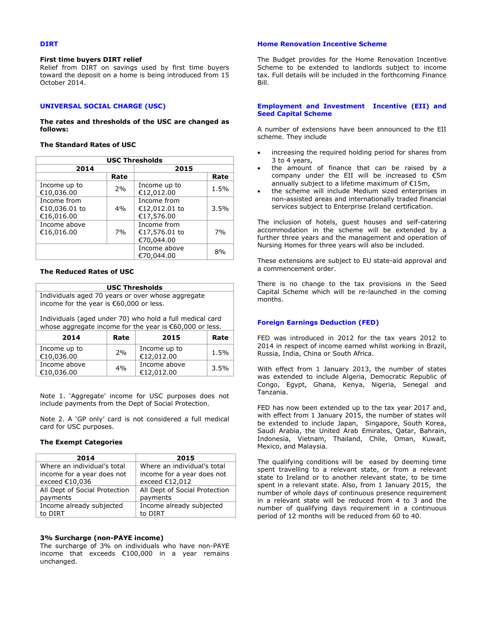## **DIRT**

#### **First time buyers DIRT relief**

Relief from DIRT on savings used by first time buyers toward the deposit on a home is being introduced from 15 October 2014.

# **UNIVERSAL SOCIAL CHARGE (USC)**

**The rates and thresholds of the USC are changed as follows:**

## **The Standard Rates of USC**

| <b>USC Thresholds</b>                      |      |                                            |      |
|--------------------------------------------|------|--------------------------------------------|------|
| 2014                                       |      | 2015                                       |      |
|                                            | Rate |                                            | Rate |
| Income up to<br>€10,036.00                 | 2%   | Income up to<br>€12,012.00                 | 1.5% |
| Income from<br>€10,036.01 to<br>€16,016.00 | 4%   | Income from<br>€12,012.01 to<br>€17,576.00 | 3.5% |
| Income above<br>€16,016.00                 | 7%   | Income from<br>€17,576.01 to<br>€70,044.00 | 7%   |
|                                            |      | Income above<br>€70,044.00                 | 8%   |

## **The Reduced Rates of USC**

| <b>USC Thresholds</b>                                                                                                 |      |                            |      |
|-----------------------------------------------------------------------------------------------------------------------|------|----------------------------|------|
| Individuals aged 70 years or over whose aggregate<br>income for the year is €60,000 or less.                          |      |                            |      |
| Individuals (aged under 70) who hold a full medical card<br>whose aggregate income for the year is $€60,000$ or less. |      |                            |      |
| 2014                                                                                                                  | Rate | 2015                       | Rate |
| Income up to<br>€10,036.00                                                                                            | 2%   | Income up to<br>€12,012.00 | 1.5% |
| Income above<br>€10,036.00                                                                                            | 4%   | Income above<br>€12,012.00 | 3.5% |

Note 1. 'Aggregate' income for USC purposes does not include payments from the Dept of Social Protection.

Note 2. A 'GP only' card is not considered a full medical card for USC purposes.

### **The Exempt Categories**

| 2014                          | 2015                          |
|-------------------------------|-------------------------------|
| Where an individual's total   | Where an individual's total   |
| income for a year does not    | income for a year does not    |
| exceed €10,036                | exceed €12,012                |
| All Dept of Social Protection | All Dept of Social Protection |
| payments                      | payments                      |
| Income already subjected      | Income already subjected      |
| to DIRT                       | to DIRT                       |

### **3% Surcharge (non-PAYE income)**

The surcharge of 3% on individuals who have non-PAYE income that exceeds €100,000 in a year remains unchanged.

## **Home Renovation Incentive Scheme**

The Budget provides for the Home Renovation Incentive Scheme to be extended to landlords subject to income tax. Full details will be included in the forthcoming Finance Bill.

### **Employment and Investment Incentive (EII) and Seed Capital Scheme**

A number of extensions have been announced to the EII scheme. They include

- increasing the required holding period for shares from 3 to 4 years,
- the amount of finance that can be raised by a company under the EII will be increased to  $\acute{\text{5}}$ m annually subject to a lifetime maximum of €15m,
- the scheme will include Medium sized enterprises in non-assisted areas and internationally traded financial services subject to Enterprise Ireland certification.

The inclusion of hotels, guest houses and self-catering accommodation in the scheme will be extended by a further three years and the management and operation of Nursing Homes for three years will also be included.

These extensions are subject to EU state-aid approval and a commencement order.

There is no change to the tax provisions in the Seed Capital Scheme which will be re-launched in the coming months.

# **Foreign Earnings Deduction (FED)**

FED was introduced in 2012 for the tax years 2012 to 2014 in respect of income earned whilst working in Brazil, Russia, India, China or South Africa.

With effect from 1 January 2013, the number of states was extended to include Algeria, Democratic Republic of Congo, Egypt, Ghana, Kenya, Nigeria, Senegal and Tanzania.

FED has now been extended up to the tax year 2017 and, with effect from 1 January 2015, the number of states will be extended to include Japan, Singapore, South Korea, Saudi Arabia, the United Arab Emirates, Qatar, Bahrain, Indonesia, Vietnam, Thailand, Chile, Oman, Kuwait, Mexico, and Malaysia.

The qualifying conditions will be eased by deeming time spent travelling to a relevant state, or from a relevant state to Ireland or to another relevant state, to be time spent in a relevant state. Also, from 1 January 2015, the number of whole days of continuous presence requirement in a relevant state will be reduced from 4 to 3 and the number of qualifying days requirement in a continuous period of 12 months will be reduced from 60 to 40.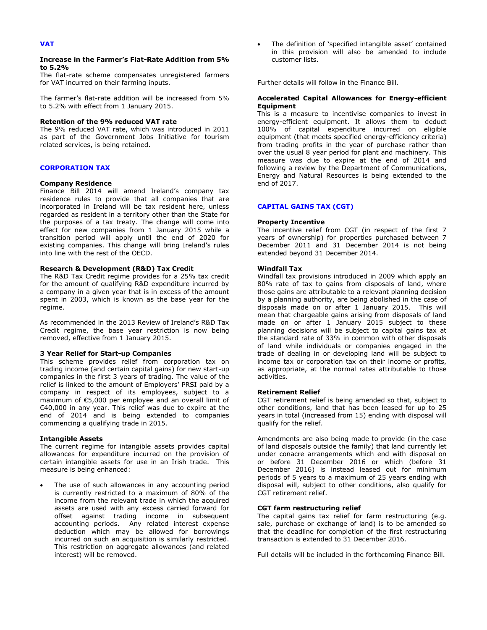## **Increase in the Farmer's Flat-Rate Addition from 5% to 5.2%**

The flat-rate scheme compensates unregistered farmers for VAT incurred on their farming inputs.

The farmer's flat-rate addition will be increased from 5% to 5.2% with effect from 1 January 2015.

### **Retention of the 9% reduced VAT rate**

The 9% reduced VAT rate, which was introduced in 2011 as part of the Government Jobs Initiative for tourism related services, is being retained.

#### **CORPORATION TAX**

### **Company Residence**

Finance Bill 2014 will amend Ireland's company tax residence rules to provide that all companies that are incorporated in Ireland will be tax resident here, unless regarded as resident in a territory other than the State for the purposes of a tax treaty. The change will come into effect for new companies from 1 January 2015 while a transition period will apply until the end of 2020 for existing companies. This change will bring Ireland's rules into line with the rest of the OECD.

### **Research & Development (R&D) Tax Credit**

The R&D Tax Credit regime provides for a 25% tax credit for the amount of qualifying R&D expenditure incurred by a company in a given year that is in excess of the amount spent in 2003, which is known as the base year for the regime.

As recommended in the 2013 Review of Ireland's R&D Tax Credit regime, the base year restriction is now being removed, effective from 1 January 2015.

### **3 Year Relief for Start-up Companies**

This scheme provides relief from corporation tax on trading income (and certain capital gains) for new start-up companies in the first 3 years of trading. The value of the relief is linked to the amount of Employers' PRSI paid by a company in respect of its employees, subject to a maximum of €5,000 per employee and an overall limit of €40,000 in any year. This relief was due to expire at the end of 2014 and is being extended to companies commencing a qualifying trade in 2015.

#### **Intangible Assets**

The current regime for intangible assets provides capital allowances for expenditure incurred on the provision of certain intangible assets for use in an Irish trade. This measure is being enhanced:

 The use of such allowances in any accounting period is currently restricted to a maximum of 80% of the income from the relevant trade in which the acquired assets are used with any excess carried forward for offset against trading income in subsequent accounting periods. Any related interest expense deduction which may be allowed for borrowings incurred on such an acquisition is similarly restricted. This restriction on aggregate allowances (and related interest) will be removed.

 The definition of 'specified intangible asset' contained in this provision will also be amended to include customer lists.

Further details will follow in the Finance Bill.

### **Accelerated Capital Allowances for Energy-efficient Equipment**

This is a measure to incentivise companies to invest in energy-efficient equipment. It allows them to deduct 100% of capital expenditure incurred on eligible equipment (that meets specified energy-efficiency criteria) from trading profits in the year of purchase rather than over the usual 8 year period for plant and machinery. This measure was due to expire at the end of 2014 and following a review by the Department of Communications, Energy and Natural Resources is being extended to the end of 2017.

## **CAPITAL GAINS TAX (CGT)**

#### **Property Incentive**

The incentive relief from CGT (in respect of the first 7 years of ownership) for properties purchased between 7 December 2011 and 31 December 2014 is not being extended beyond 31 December 2014.

### **Windfall Tax**

Windfall tax provisions introduced in 2009 which apply an 80% rate of tax to gains from disposals of land, where those gains are attributable to a relevant planning decision by a planning authority, are being abolished in the case of disposals made on or after 1 January 2015. This will mean that chargeable gains arising from disposals of land made on or after 1 January 2015 subject to these planning decisions will be subject to capital gains tax at the standard rate of 33% in common with other disposals of land while individuals or companies engaged in the trade of dealing in or developing land will be subject to income tax or corporation tax on their income or profits, as appropriate, at the normal rates attributable to those activities.

### **Retirement Relief**

CGT retirement relief is being amended so that, subject to other conditions, land that has been leased for up to 25 years in total (increased from 15) ending with disposal will qualify for the relief.

Amendments are also being made to provide (in the case of land disposals outside the family) that land currently let under conacre arrangements which end with disposal on or before 31 December 2016 or which (before 31 December 2016) is instead leased out for minimum periods of 5 years to a maximum of 25 years ending with disposal will, subject to other conditions, also qualify for CGT retirement relief.

## **CGT farm restructuring relief**

The capital gains tax relief for farm restructuring (e.g. sale, purchase or exchange of land) is to be amended so that the deadline for completion of the first restructuring transaction is extended to 31 December 2016.

Full details will be included in the forthcoming Finance Bill.